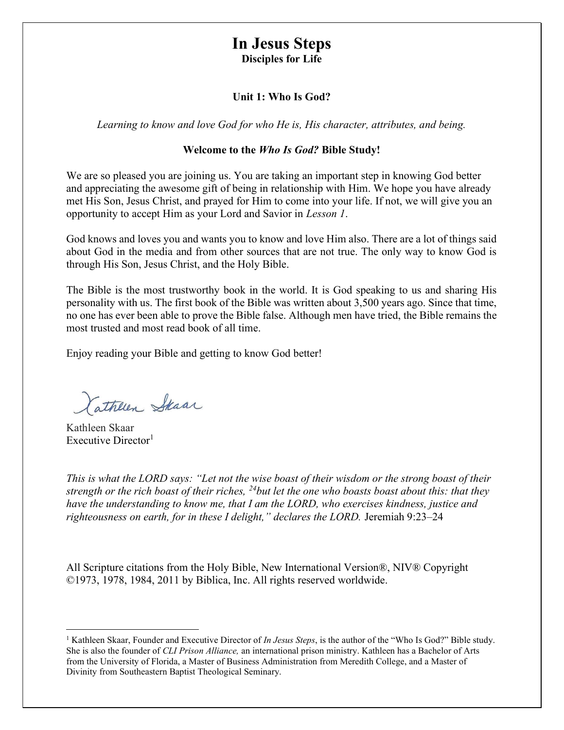# In Jesus Steps

Disciples for Life

## Unit 1: Who Is God?

Learning to know and love God for who He is, His character, attributes, and being.

## Welcome to the Who Is God? Bible Study!

We are so pleased you are joining us. You are taking an important step in knowing God better and appreciating the awesome gift of being in relationship with Him. We hope you have already met His Son, Jesus Christ, and prayed for Him to come into your life. If not, we will give you an opportunity to accept Him as your Lord and Savior in Lesson 1.

God knows and loves you and wants you to know and love Him also. There are a lot of things said about God in the media and from other sources that are not true. The only way to know God is through His Son, Jesus Christ, and the Holy Bible.

The Bible is the most trustworthy book in the world. It is God speaking to us and sharing His personality with us. The first book of the Bible was written about 3,500 years ago. Since that time, no one has ever been able to prove the Bible false. Although men have tried, the Bible remains the most trusted and most read book of all time.

Enjoy reading your Bible and getting to know God better!

Cathleen Skaar

Kathleen Skaar Executive Director<sup>1</sup>

This is what the LORD says: "Let not the wise boast of their wisdom or the strong boast of their strength or the rich boast of their riches,  $^{24}$ but let the one who boasts boast about this: that they have the understanding to know me, that I am the LORD, who exercises kindness, justice and righteousness on earth, for in these I delight," declares the LORD. Jeremiah 9:23–24

All Scripture citations from the Holy Bible, New International Version®, NIV® Copyright ©1973, 1978, 1984, 2011 by Biblica, Inc. All rights reserved worldwide.

<sup>&</sup>lt;sup>1</sup> Kathleen Skaar, Founder and Executive Director of In Jesus Steps, is the author of the "Who Is God?" Bible study. She is also the founder of CLI Prison Alliance, an international prison ministry. Kathleen has a Bachelor of Arts from the University of Florida, a Master of Business Administration from Meredith College, and a Master of Divinity from Southeastern Baptist Theological Seminary.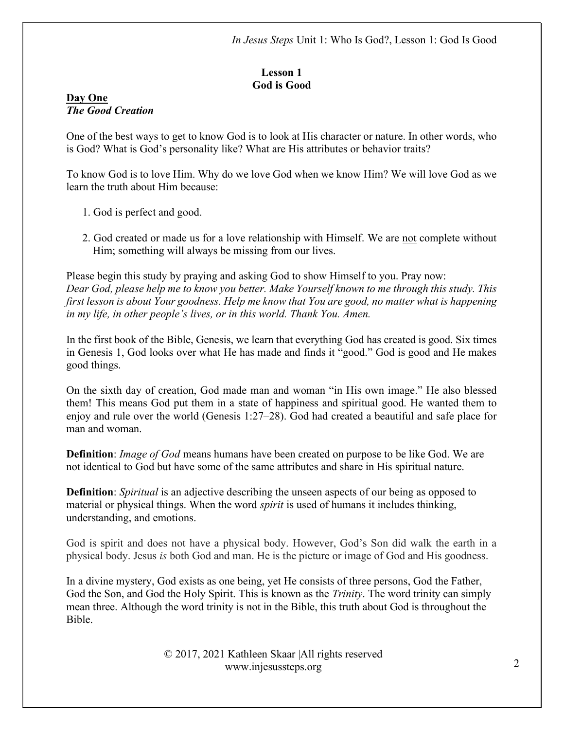## Lesson 1 God is Good

## Day One The Good Creation

One of the best ways to get to know God is to look at His character or nature. In other words, who is God? What is God's personality like? What are His attributes or behavior traits?

To know God is to love Him. Why do we love God when we know Him? We will love God as we learn the truth about Him because:

1. God is perfect and good.

 2. God created or made us for a love relationship with Himself. We are not complete without Him; something will always be missing from our lives.

Please begin this study by praying and asking God to show Himself to you. Pray now: Dear God, please help me to know you better. Make Yourself known to me through this study. This first lesson is about Your goodness. Help me know that You are good, no matter what is happening in my life, in other people's lives, or in this world. Thank You. Amen.

In the first book of the Bible, Genesis, we learn that everything God has created is good. Six times in Genesis 1, God looks over what He has made and finds it "good." God is good and He makes good things.

On the sixth day of creation, God made man and woman "in His own image." He also blessed them! This means God put them in a state of happiness and spiritual good. He wanted them to enjoy and rule over the world (Genesis 1:27–28). God had created a beautiful and safe place for man and woman.

**Definition**: *Image of God* means humans have been created on purpose to be like God. We are not identical to God but have some of the same attributes and share in His spiritual nature.

**Definition**: *Spiritual* is an adjective describing the unseen aspects of our being as opposed to material or physical things. When the word spirit is used of humans it includes thinking, understanding, and emotions.

God is spirit and does not have a physical body. However, God's Son did walk the earth in a physical body. Jesus is both God and man. He is the picture or image of God and His goodness.

In a divine mystery, God exists as one being, yet He consists of three persons, God the Father, God the Son, and God the Holy Spirit. This is known as the *Trinity*. The word trinity can simply mean three. Although the word trinity is not in the Bible, this truth about God is throughout the Bible.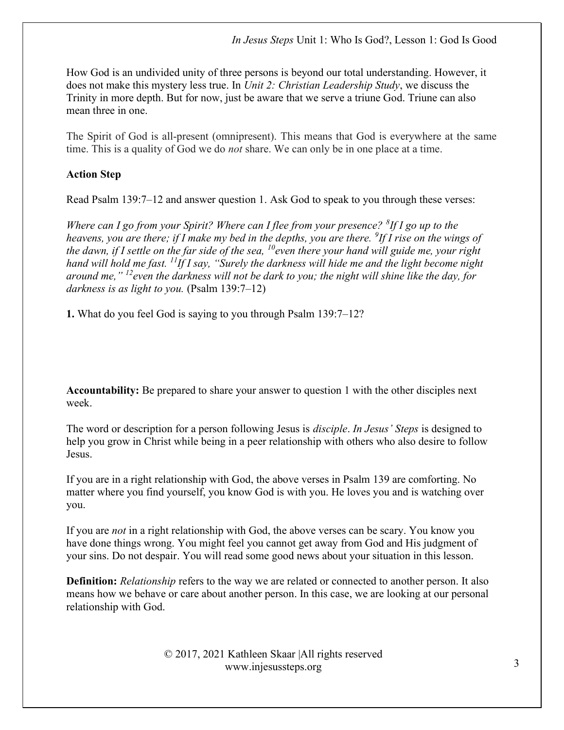How God is an undivided unity of three persons is beyond our total understanding. However, it does not make this mystery less true. In Unit 2: Christian Leadership Study, we discuss the Trinity in more depth. But for now, just be aware that we serve a triune God. Triune can also mean three in one.

The Spirit of God is all-present (omnipresent). This means that God is everywhere at the same time. This is a quality of God we do *not* share. We can only be in one place at a time.

## Action Step

Read Psalm 139:7–12 and answer question 1. Ask God to speak to you through these verses:

Where can I go from your Spirit? Where can I flee from your presence?  $^{8}$ If I go up to the heavens, you are there; if I make my bed in the depths, you are there.  $^{9}$ If I rise on the wings of the dawn, if I settle on the far side of the sea,  $^{10}$  even there your hand will guide me, your right hand will hold me fast.  $^{11}$ If I say, "Surely the darkness will hide me and the light become night around me,"  $^{12}$  even the darkness will not be dark to you; the night will shine like the day, for darkness is as light to you. (Psalm 139:7–12)

1. What do you feel God is saying to you through Psalm 139:7–12?

Accountability: Be prepared to share your answer to question 1 with the other disciples next week.

The word or description for a person following Jesus is *disciple. In Jesus' Steps* is designed to help you grow in Christ while being in a peer relationship with others who also desire to follow Jesus.

If you are in a right relationship with God, the above verses in Psalm 139 are comforting. No matter where you find yourself, you know God is with you. He loves you and is watching over you.

If you are not in a right relationship with God, the above verses can be scary. You know you have done things wrong. You might feel you cannot get away from God and His judgment of your sins. Do not despair. You will read some good news about your situation in this lesson.

**Definition:** *Relationship* refers to the way we are related or connected to another person. It also means how we behave or care about another person. In this case, we are looking at our personal relationship with God.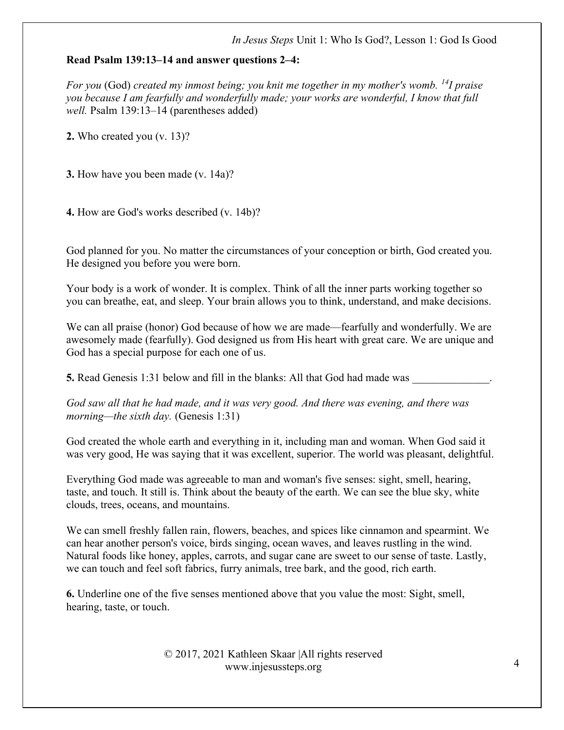## Read Psalm 139:13–14 and answer questions 2–4:

For you (God) created my inmost being; you knit me together in my mother's womb.  $^{14}I$  praise you because I am fearfully and wonderfully made; your works are wonderful, I know that full well. Psalm 139:13–14 (parentheses added)

2. Who created you (v. 13)?

3. How have you been made (v. 14a)?

4. How are God's works described (v. 14b)?

God planned for you. No matter the circumstances of your conception or birth, God created you. He designed you before you were born.

Your body is a work of wonder. It is complex. Think of all the inner parts working together so you can breathe, eat, and sleep. Your brain allows you to think, understand, and make decisions.

We can all praise (honor) God because of how we are made—fearfully and wonderfully. We are awesomely made (fearfully). God designed us from His heart with great care. We are unique and God has a special purpose for each one of us.

5. Read Genesis 1:31 below and fill in the blanks: All that God had made was

God saw all that he had made, and it was very good. And there was evening, and there was morning—the sixth day. (Genesis 1:31)

God created the whole earth and everything in it, including man and woman. When God said it was very good, He was saying that it was excellent, superior. The world was pleasant, delightful.

Everything God made was agreeable to man and woman's five senses: sight, smell, hearing, taste, and touch. It still is. Think about the beauty of the earth. We can see the blue sky, white clouds, trees, oceans, and mountains.

We can smell freshly fallen rain, flowers, beaches, and spices like cinnamon and spearmint. We can hear another person's voice, birds singing, ocean waves, and leaves rustling in the wind. Natural foods like honey, apples, carrots, and sugar cane are sweet to our sense of taste. Lastly, we can touch and feel soft fabrics, furry animals, tree bark, and the good, rich earth.

6. Underline one of the five senses mentioned above that you value the most: Sight, smell, hearing, taste, or touch.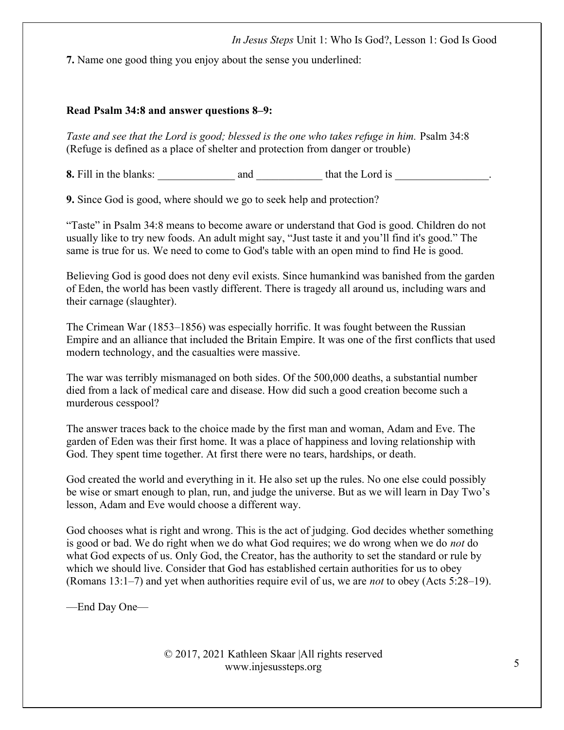7. Name one good thing you enjoy about the sense you underlined:

## Read Psalm 34:8 and answer questions 8–9:

Taste and see that the Lord is good; blessed is the one who takes refuge in him. Psalm 34:8 (Refuge is defined as a place of shelter and protection from danger or trouble)

8. Fill in the blanks: and that the Lord is  $\alpha$ 

9. Since God is good, where should we go to seek help and protection?

"Taste" in Psalm 34:8 means to become aware or understand that God is good. Children do not usually like to try new foods. An adult might say, "Just taste it and you'll find it's good." The same is true for us. We need to come to God's table with an open mind to find He is good.

Believing God is good does not deny evil exists. Since humankind was banished from the garden of Eden, the world has been vastly different. There is tragedy all around us, including wars and their carnage (slaughter).

The Crimean War (1853–1856) was especially horrific. It was fought between the Russian Empire and an alliance that included the Britain Empire. It was one of the first conflicts that used modern technology, and the casualties were massive.

The war was terribly mismanaged on both sides. Of the 500,000 deaths, a substantial number died from a lack of medical care and disease. How did such a good creation become such a murderous cesspool?

The answer traces back to the choice made by the first man and woman, Adam and Eve. The garden of Eden was their first home. It was a place of happiness and loving relationship with God. They spent time together. At first there were no tears, hardships, or death.

God created the world and everything in it. He also set up the rules. No one else could possibly be wise or smart enough to plan, run, and judge the universe. But as we will learn in Day Two's lesson, Adam and Eve would choose a different way.

God chooses what is right and wrong. This is the act of judging. God decides whether something is good or bad. We do right when we do what God requires; we do wrong when we do not do what God expects of us. Only God, the Creator, has the authority to set the standard or rule by which we should live. Consider that God has established certain authorities for us to obey (Romans 13:1–7) and yet when authorities require evil of us, we are not to obey (Acts 5:28–19).

—End Day One—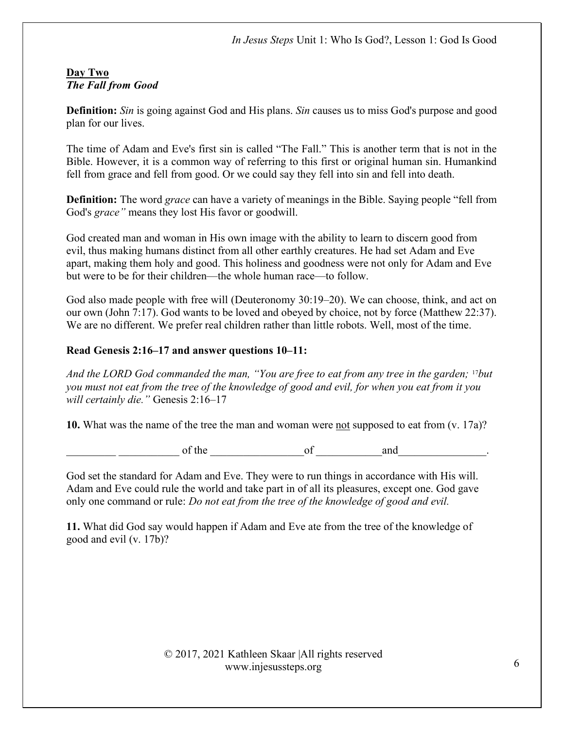## Day Two The Fall from Good

**Definition:** Sin is going against God and His plans. Sin causes us to miss God's purpose and good plan for our lives.

The time of Adam and Eve's first sin is called "The Fall." This is another term that is not in the Bible. However, it is a common way of referring to this first or original human sin. Humankind fell from grace and fell from good. Or we could say they fell into sin and fell into death.

**Definition:** The word *grace* can have a variety of meanings in the Bible. Saying people "fell from God's grace" means they lost His favor or goodwill.

God created man and woman in His own image with the ability to learn to discern good from evil, thus making humans distinct from all other earthly creatures. He had set Adam and Eve apart, making them holy and good. This holiness and goodness were not only for Adam and Eve but were to be for their children—the whole human race—to follow.

God also made people with free will (Deuteronomy 30:19–20). We can choose, think, and act on our own (John 7:17). God wants to be loved and obeyed by choice, not by force (Matthew 22:37). We are no different. We prefer real children rather than little robots. Well, most of the time.

# Read Genesis 2:16–17 and answer questions 10–11:

And the LORD God commanded the man, "You are free to eat from any tree in the garden; <sup>17</sup>but you must not eat from the tree of the knowledge of good and evil, for when you eat from it you will certainly die." Genesis 2:16-17

10. What was the name of the tree the man and woman were not supposed to eat from  $(v. 17a)$ ?

of the of the contract of  $\overline{c}$  of  $\overline{c}$  and

God set the standard for Adam and Eve. They were to run things in accordance with His will. Adam and Eve could rule the world and take part in of all its pleasures, except one. God gave only one command or rule: Do not eat from the tree of the knowledge of good and evil.

11. What did God say would happen if Adam and Eve ate from the tree of the knowledge of good and evil (v. 17b)?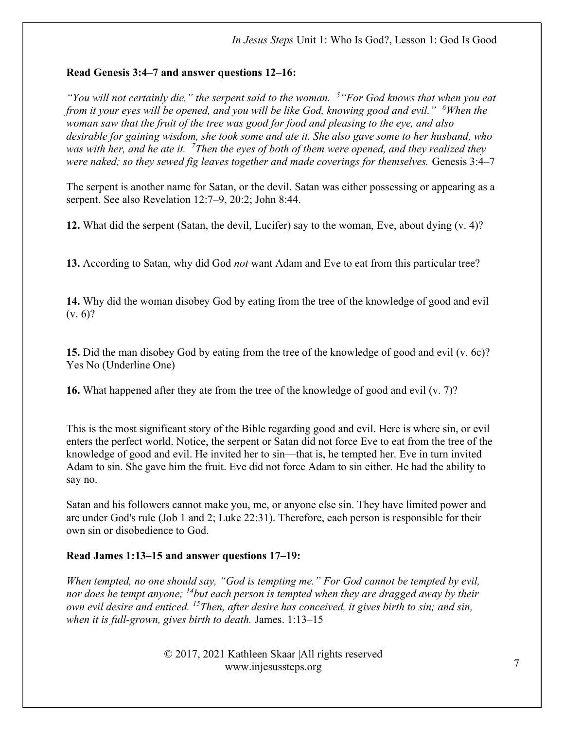## Read Genesis 3:4–7 and answer questions 12–16:

"You will not certainly die," the serpent said to the woman.  $5$ "For God knows that when you eat from it your eyes will be opened, and you will be like God, knowing good and evil." <sup>6</sup>When the woman saw that the fruit of the tree was good for food and pleasing to the eye, and also desirable for gaining wisdom, she took some and ate it. She also gave some to her husband, who was with her, and he ate it.  $7$ Then the eyes of both of them were opened, and they realized they were naked; so they sewed fig leaves together and made coverings for themselves. Genesis 3:4–7

The serpent is another name for Satan, or the devil. Satan was either possessing or appearing as a serpent. See also Revelation 12:7–9, 20:2; John 8:44.

12. What did the serpent (Satan, the devil, Lucifer) say to the woman, Eve, about dying (v. 4)?

13. According to Satan, why did God not want Adam and Eve to eat from this particular tree?

14. Why did the woman disobey God by eating from the tree of the knowledge of good and evil  $(v. 6)?$ 

15. Did the man disobey God by eating from the tree of the knowledge of good and evil (v. 6c)? Yes No (Underline One)

16. What happened after they ate from the tree of the knowledge of good and evil (v. 7)?

This is the most significant story of the Bible regarding good and evil. Here is where sin, or evil enters the perfect world. Notice, the serpent or Satan did not force Eve to eat from the tree of the knowledge of good and evil. He invited her to sin—that is, he tempted her. Eve in turn invited Adam to sin. She gave him the fruit. Eve did not force Adam to sin either. He had the ability to say no.

Satan and his followers cannot make you, me, or anyone else sin. They have limited power and are under God's rule (Job 1 and 2; Luke 22:31). Therefore, each person is responsible for their own sin or disobedience to God.

# Read James 1:13–15 and answer questions 17–19:

When tempted, no one should say, "God is tempting me." For God cannot be tempted by evil, nor does he tempt anyone;  $14$  but each person is tempted when they are dragged away by their own evil desire and enticed. <sup>15</sup>Then, after desire has conceived, it gives birth to sin; and sin, when it is full-grown, gives birth to death. James. 1:13–15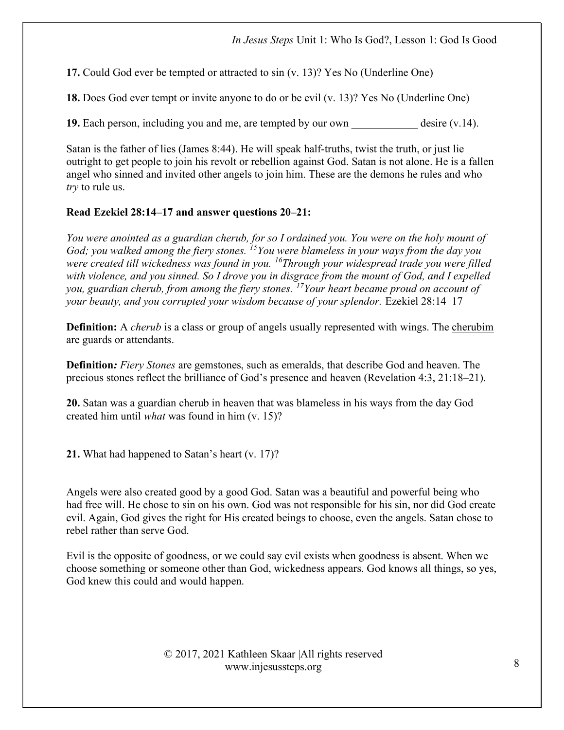17. Could God ever be tempted or attracted to sin (v. 13)? Yes No (Underline One)

18. Does God ever tempt or invite anyone to do or be evil (v. 13)? Yes No (Underline One)

19. Each person, including you and me, are tempted by our own  $\qquad \qquad$  desire (v.14).

Satan is the father of lies (James 8:44). He will speak half-truths, twist the truth, or just lie outright to get people to join his revolt or rebellion against God. Satan is not alone. He is a fallen angel who sinned and invited other angels to join him. These are the demons he rules and who try to rule us.

# Read Ezekiel 28:14–17 and answer questions 20–21:

You were anointed as a guardian cherub, for so I ordained you. You were on the holy mount of God; you walked among the fiery stones. <sup>15</sup>You were blameless in your ways from the day you were created till wickedness was found in you. <sup>16</sup>Through your widespread trade you were filled with violence, and you sinned. So I drove you in disgrace from the mount of God, and I expelled you, guardian cherub, from among the fiery stones.  $^{17}$ Your heart became proud on account of your beauty, and you corrupted your wisdom because of your splendor. Ezekiel 28:14–17

**Definition:** A *cherub* is a class or group of angels usually represented with wings. The *cherubim* are guards or attendants.

Definition: Fiery Stones are gemstones, such as emeralds, that describe God and heaven. The precious stones reflect the brilliance of God's presence and heaven (Revelation 4:3, 21:18–21).

20. Satan was a guardian cherub in heaven that was blameless in his ways from the day God created him until what was found in him (v. 15)?

21. What had happened to Satan's heart (v. 17)?

Angels were also created good by a good God. Satan was a beautiful and powerful being who had free will. He chose to sin on his own. God was not responsible for his sin, nor did God create evil. Again, God gives the right for His created beings to choose, even the angels. Satan chose to rebel rather than serve God.

Evil is the opposite of goodness, or we could say evil exists when goodness is absent. When we choose something or someone other than God, wickedness appears. God knows all things, so yes, God knew this could and would happen.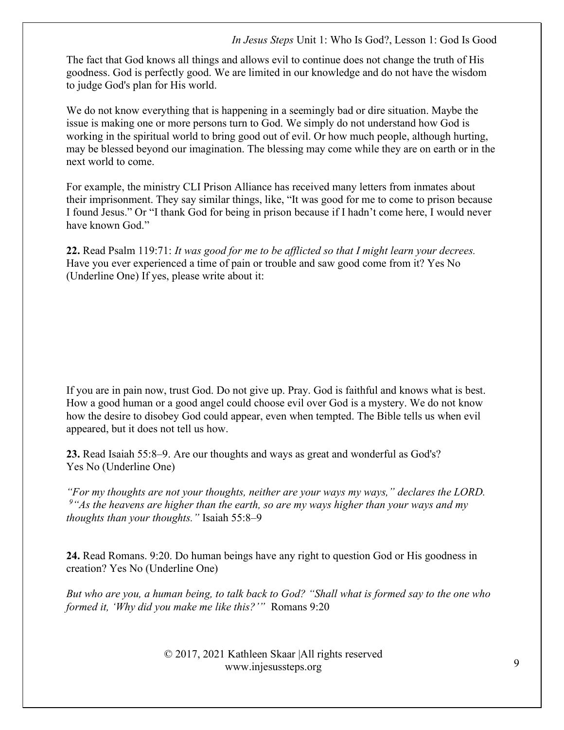The fact that God knows all things and allows evil to continue does not change the truth of His goodness. God is perfectly good. We are limited in our knowledge and do not have the wisdom to judge God's plan for His world.

We do not know everything that is happening in a seemingly bad or dire situation. Maybe the issue is making one or more persons turn to God. We simply do not understand how God is working in the spiritual world to bring good out of evil. Or how much people, although hurting, may be blessed beyond our imagination. The blessing may come while they are on earth or in the next world to come.

For example, the ministry CLI Prison Alliance has received many letters from inmates about their imprisonment. They say similar things, like, "It was good for me to come to prison because I found Jesus." Or "I thank God for being in prison because if I hadn't come here, I would never have known God."

22. Read Psalm 119:71: It was good for me to be afflicted so that I might learn your decrees. Have you ever experienced a time of pain or trouble and saw good come from it? Yes No (Underline One) If yes, please write about it:

If you are in pain now, trust God. Do not give up. Pray. God is faithful and knows what is best. How a good human or a good angel could choose evil over God is a mystery. We do not know how the desire to disobey God could appear, even when tempted. The Bible tells us when evil appeared, but it does not tell us how.

23. Read Isaiah 55:8–9. Are our thoughts and ways as great and wonderful as God's? Yes No (Underline One)

"For my thoughts are not your thoughts, neither are your ways my ways," declares the LORD.  $9"$ As the heavens are higher than the earth, so are my ways higher than your ways and my thoughts than your thoughts." Isaiah 55:8–9

24. Read Romans. 9:20. Do human beings have any right to question God or His goodness in creation? Yes No (Underline One)

But who are you, a human being, to talk back to God? "Shall what is formed say to the one who formed it, 'Why did you make me like this?'" Romans 9:20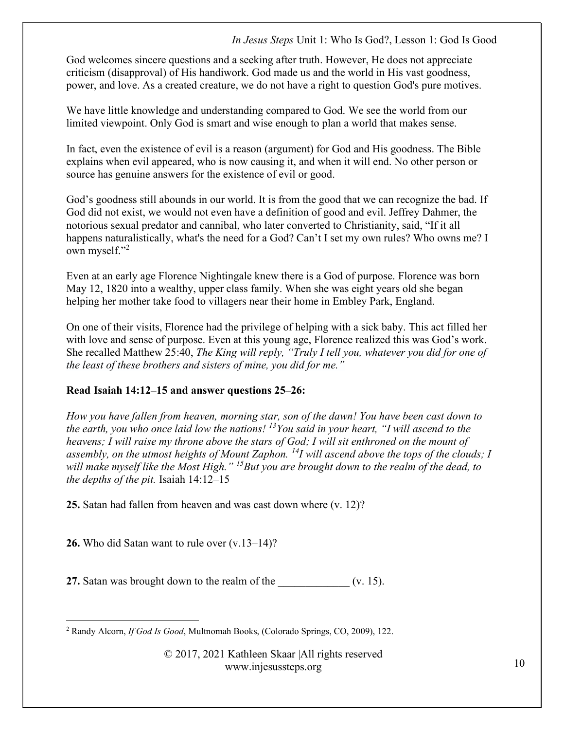God welcomes sincere questions and a seeking after truth. However, He does not appreciate criticism (disapproval) of His handiwork. God made us and the world in His vast goodness, power, and love. As a created creature, we do not have a right to question God's pure motives.

We have little knowledge and understanding compared to God. We see the world from our limited viewpoint. Only God is smart and wise enough to plan a world that makes sense.

In fact, even the existence of evil is a reason (argument) for God and His goodness. The Bible explains when evil appeared, who is now causing it, and when it will end. No other person or source has genuine answers for the existence of evil or good.

God's goodness still abounds in our world. It is from the good that we can recognize the bad. If God did not exist, we would not even have a definition of good and evil. Jeffrey Dahmer, the notorious sexual predator and cannibal, who later converted to Christianity, said, "If it all happens naturalistically, what's the need for a God? Can't I set my own rules? Who owns me? I own myself."<sup>2</sup>

Even at an early age Florence Nightingale knew there is a God of purpose. Florence was born May 12, 1820 into a wealthy, upper class family. When she was eight years old she began helping her mother take food to villagers near their home in Embley Park, England.

On one of their visits, Florence had the privilege of helping with a sick baby. This act filled her with love and sense of purpose. Even at this young age, Florence realized this was God's work. She recalled Matthew 25:40, The King will reply, "Truly I tell you, whatever you did for one of the least of these brothers and sisters of mine, you did for me."

# Read Isaiah 14:12–15 and answer questions 25–26:

How you have fallen from heaven, morning star, son of the dawn! You have been cast down to the earth, you who once laid low the nations!  $^{13}$  You said in your heart, "I will ascend to the heavens; I will raise my throne above the stars of God; I will sit enthroned on the mount of assembly, on the utmost heights of Mount Zaphon.  $^{14}I$  will ascend above the tops of the clouds; I will make myself like the Most High." <sup>15</sup>But you are brought down to the realm of the dead, to the depths of the pit. Isaiah 14:12–15

25. Satan had fallen from heaven and was cast down where (v. 12)?

26. Who did Satan want to rule over (v.13–14)?

27. Satan was brought down to the realm of the  $($ v. 15).

<sup>&</sup>lt;sup>2</sup> Randy Alcorn, *If God Is Good*, Multnomah Books, (Colorado Springs, CO, 2009), 122.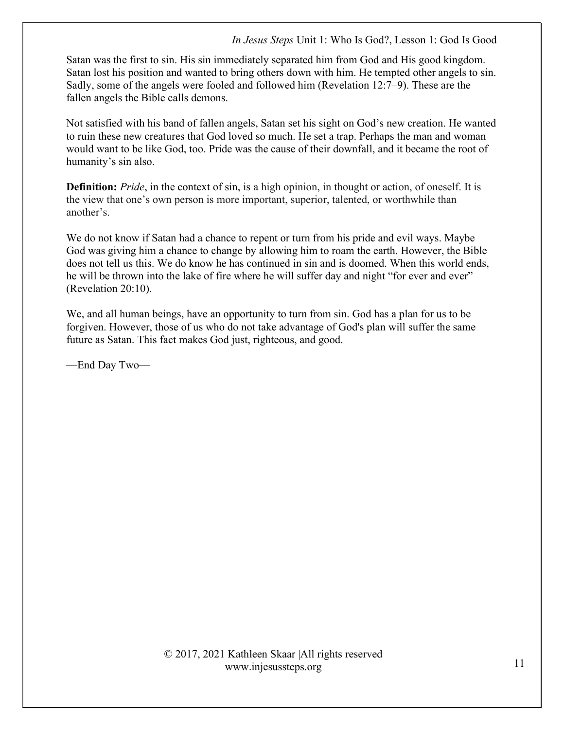Satan was the first to sin. His sin immediately separated him from God and His good kingdom. Satan lost his position and wanted to bring others down with him. He tempted other angels to sin. Sadly, some of the angels were fooled and followed him (Revelation 12:7–9). These are the fallen angels the Bible calls demons.

Not satisfied with his band of fallen angels, Satan set his sight on God's new creation. He wanted to ruin these new creatures that God loved so much. He set a trap. Perhaps the man and woman would want to be like God, too. Pride was the cause of their downfall, and it became the root of humanity's sin also.

**Definition:** Pride, in the context of sin, is a high opinion, in thought or action, of oneself. It is the view that one's own person is more important, superior, talented, or worthwhile than another's.

We do not know if Satan had a chance to repent or turn from his pride and evil ways. Maybe God was giving him a chance to change by allowing him to roam the earth. However, the Bible does not tell us this. We do know he has continued in sin and is doomed. When this world ends, he will be thrown into the lake of fire where he will suffer day and night "for ever and ever" (Revelation 20:10).

We, and all human beings, have an opportunity to turn from sin. God has a plan for us to be forgiven. However, those of us who do not take advantage of God's plan will suffer the same future as Satan. This fact makes God just, righteous, and good.

—End Day Two—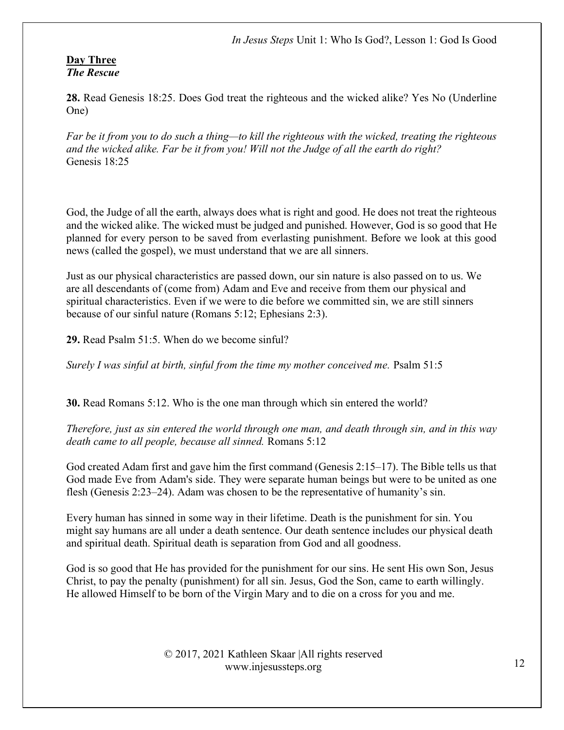#### Day Three The Rescue

28. Read Genesis 18:25. Does God treat the righteous and the wicked alike? Yes No (Underline One)

Far be it from you to do such a thing—to kill the righteous with the wicked, treating the righteous and the wicked alike. Far be it from you! Will not the Judge of all the earth do right? Genesis 18:25

God, the Judge of all the earth, always does what is right and good. He does not treat the righteous and the wicked alike. The wicked must be judged and punished. However, God is so good that He planned for every person to be saved from everlasting punishment. Before we look at this good news (called the gospel), we must understand that we are all sinners.

Just as our physical characteristics are passed down, our sin nature is also passed on to us. We are all descendants of (come from) Adam and Eve and receive from them our physical and spiritual characteristics. Even if we were to die before we committed sin, we are still sinners because of our sinful nature (Romans 5:12; Ephesians 2:3).

29. Read Psalm 51:5. When do we become sinful?

Surely I was sinful at birth, sinful from the time my mother conceived me. Psalm 51:5

30. Read Romans 5:12. Who is the one man through which sin entered the world?

Therefore, just as sin entered the world through one man, and death through sin, and in this way death came to all people, because all sinned. Romans 5:12

God created Adam first and gave him the first command (Genesis 2:15–17). The Bible tells us that God made Eve from Adam's side. They were separate human beings but were to be united as one flesh (Genesis 2:23–24). Adam was chosen to be the representative of humanity's sin.

Every human has sinned in some way in their lifetime. Death is the punishment for sin. You might say humans are all under a death sentence. Our death sentence includes our physical death and spiritual death. Spiritual death is separation from God and all goodness.

God is so good that He has provided for the punishment for our sins. He sent His own Son, Jesus Christ, to pay the penalty (punishment) for all sin. Jesus, God the Son, came to earth willingly. He allowed Himself to be born of the Virgin Mary and to die on a cross for you and me.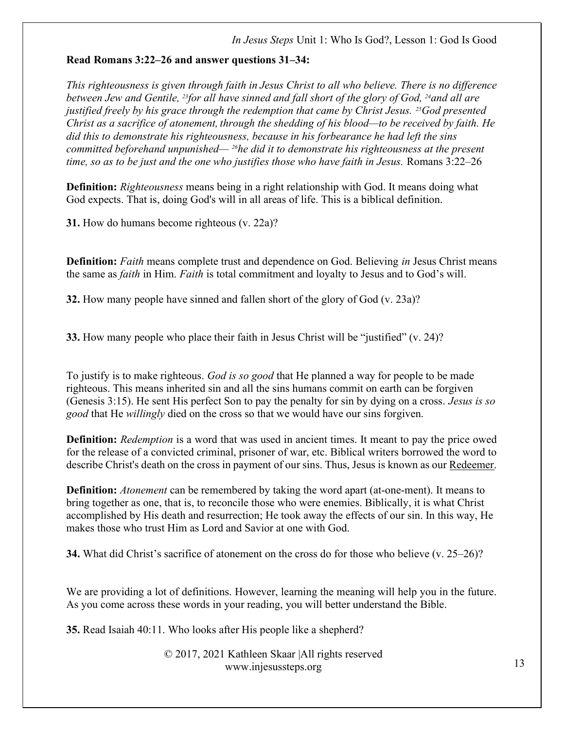# Read Romans 3:22–26 and answer questions 31–34:

This righteousness is given through faith in Jesus Christ to all who believe. There is no difference between Jew and Gentile, <sup>23</sup>for all have sinned and fall short of the glory of God, <sup>24</sup>and all are justified freely by his grace through the redemption that came by Christ Jesus.  $^{25}$ God presented Christ as a sacrifice of atonement, through the shedding of his blood—to be received by faith. He did this to demonstrate his righteousness, because in his forbearance he had left the sins committed beforehand unpunished— $^{26}$ he did it to demonstrate his righteousness at the present time, so as to be just and the one who justifies those who have faith in Jesus. Romans 3:22–26

**Definition:** Righteousness means being in a right relationship with God. It means doing what God expects. That is, doing God's will in all areas of life. This is a biblical definition.

31. How do humans become righteous (v. 22a)?

**Definition:** Faith means complete trust and dependence on God. Believing in Jesus Christ means the same as faith in Him. Faith is total commitment and loyalty to Jesus and to God's will.

32. How many people have sinned and fallen short of the glory of God (v. 23a)?

33. How many people who place their faith in Jesus Christ will be "justified" (v. 24)?

To justify is to make righteous. God is so good that He planned a way for people to be made righteous. This means inherited sin and all the sins humans commit on earth can be forgiven (Genesis 3:15). He sent His perfect Son to pay the penalty for sin by dying on a cross. Jesus is so good that He willingly died on the cross so that we would have our sins forgiven.

**Definition:** *Redemption* is a word that was used in ancient times. It meant to pay the price owed for the release of a convicted criminal, prisoner of war, etc. Biblical writers borrowed the word to describe Christ's death on the cross in payment of our sins. Thus, Jesus is known as our Redeemer.

**Definition:** Atonement can be remembered by taking the word apart (at-one-ment). It means to bring together as one, that is, to reconcile those who were enemies. Biblically, it is what Christ accomplished by His death and resurrection; He took away the effects of our sin. In this way, He makes those who trust Him as Lord and Savior at one with God.

34. What did Christ's sacrifice of atonement on the cross do for those who believe (v. 25–26)?

We are providing a lot of definitions. However, learning the meaning will help you in the future. As you come across these words in your reading, you will better understand the Bible.

35. Read Isaiah 40:11. Who looks after His people like a shepherd?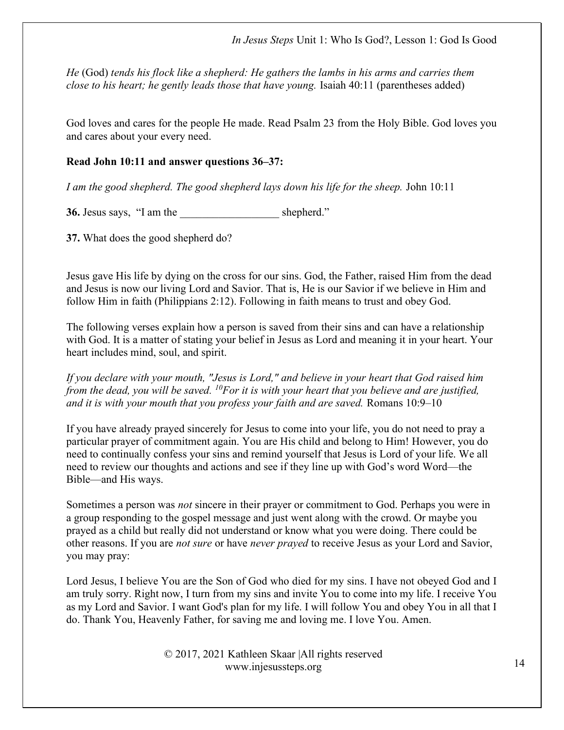He (God) tends his flock like a shepherd: He gathers the lambs in his arms and carries them close to his heart; he gently leads those that have young. Isaiah 40:11 (parentheses added)

God loves and cares for the people He made. Read Psalm 23 from the Holy Bible. God loves you and cares about your every need.

## Read John 10:11 and answer questions 36–37:

I am the good shepherd. The good shepherd lays down his life for the sheep. John 10:11

36. Jesus says, "I am the shepherd."

37. What does the good shepherd do?

Jesus gave His life by dying on the cross for our sins. God, the Father, raised Him from the dead and Jesus is now our living Lord and Savior. That is, He is our Savior if we believe in Him and follow Him in faith (Philippians 2:12). Following in faith means to trust and obey God.

The following verses explain how a person is saved from their sins and can have a relationship with God. It is a matter of stating your belief in Jesus as Lord and meaning it in your heart. Your heart includes mind, soul, and spirit.

If you declare with your mouth, "Jesus is Lord," and believe in your heart that God raised him from the dead, you will be saved.  $^{10}$ For it is with your heart that you believe and are justified, and it is with your mouth that you profess your faith and are saved. Romans 10:9–10

If you have already prayed sincerely for Jesus to come into your life, you do not need to pray a particular prayer of commitment again. You are His child and belong to Him! However, you do need to continually confess your sins and remind yourself that Jesus is Lord of your life. We all need to review our thoughts and actions and see if they line up with God's word Word—the Bible—and His ways.

Sometimes a person was not sincere in their prayer or commitment to God. Perhaps you were in a group responding to the gospel message and just went along with the crowd. Or maybe you prayed as a child but really did not understand or know what you were doing. There could be other reasons. If you are not sure or have never prayed to receive Jesus as your Lord and Savior, you may pray:

Lord Jesus, I believe You are the Son of God who died for my sins. I have not obeyed God and I am truly sorry. Right now, I turn from my sins and invite You to come into my life. I receive You as my Lord and Savior. I want God's plan for my life. I will follow You and obey You in all that I do. Thank You, Heavenly Father, for saving me and loving me. I love You. Amen.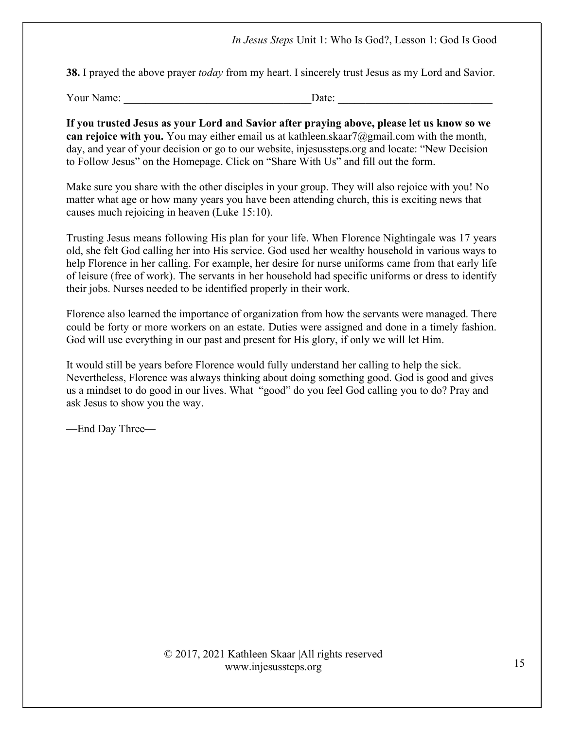38. I prayed the above prayer *today* from my heart. I sincerely trust Jesus as my Lord and Savior.

Your Name: <u>Date:</u>

If you trusted Jesus as your Lord and Savior after praying above, please let us know so we can rejoice with you. You may either email us at kathleen.skaar $7\omega$ gmail.com with the month, day, and year of your decision or go to our website, injesussteps.org and locate: "New Decision to Follow Jesus" on the Homepage. Click on "Share With Us" and fill out the form.

Make sure you share with the other disciples in your group. They will also rejoice with you! No matter what age or how many years you have been attending church, this is exciting news that causes much rejoicing in heaven (Luke 15:10).

Trusting Jesus means following His plan for your life. When Florence Nightingale was 17 years old, she felt God calling her into His service. God used her wealthy household in various ways to help Florence in her calling. For example, her desire for nurse uniforms came from that early life of leisure (free of work). The servants in her household had specific uniforms or dress to identify their jobs. Nurses needed to be identified properly in their work.

Florence also learned the importance of organization from how the servants were managed. There could be forty or more workers on an estate. Duties were assigned and done in a timely fashion. God will use everything in our past and present for His glory, if only we will let Him.

It would still be years before Florence would fully understand her calling to help the sick. Nevertheless, Florence was always thinking about doing something good. God is good and gives us a mindset to do good in our lives. What "good" do you feel God calling you to do? Pray and ask Jesus to show you the way.

—End Day Three—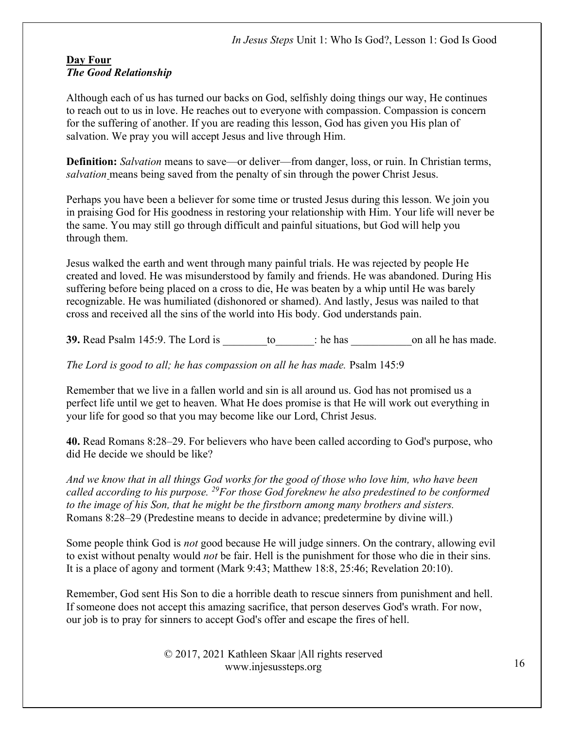## Day Four The Good Relationship

Although each of us has turned our backs on God, selfishly doing things our way, He continues to reach out to us in love. He reaches out to everyone with compassion. Compassion is concern for the suffering of another. If you are reading this lesson, God has given you His plan of salvation. We pray you will accept Jesus and live through Him.

**Definition:** Salvation means to save—or deliver—from danger, loss, or ruin. In Christian terms, salvation means being saved from the penalty of sin through the power Christ Jesus.

Perhaps you have been a believer for some time or trusted Jesus during this lesson. We join you in praising God for His goodness in restoring your relationship with Him. Your life will never be the same. You may still go through difficult and painful situations, but God will help you through them.

Jesus walked the earth and went through many painful trials. He was rejected by people He created and loved. He was misunderstood by family and friends. He was abandoned. During His suffering before being placed on a cross to die, He was beaten by a whip until He was barely recognizable. He was humiliated (dishonored or shamed). And lastly, Jesus was nailed to that cross and received all the sins of the world into His body. God understands pain.

39. Read Psalm 145:9. The Lord is to the has the has con all he has made.

The Lord is good to all; he has compassion on all he has made. Psalm 145:9

Remember that we live in a fallen world and sin is all around us. God has not promised us a perfect life until we get to heaven. What He does promise is that He will work out everything in your life for good so that you may become like our Lord, Christ Jesus.

40. Read Romans 8:28–29. For believers who have been called according to God's purpose, who did He decide we should be like?

And we know that in all things God works for the good of those who love him, who have been called according to his purpose. <sup>29</sup>For those God foreknew he also predestined to be conformed to the image of his Son, that he might be the firstborn among many brothers and sisters. Romans 8:28–29 (Predestine means to decide in advance; predetermine by divine will.)

Some people think God is not good because He will judge sinners. On the contrary, allowing evil to exist without penalty would not be fair. Hell is the punishment for those who die in their sins. It is a place of agony and torment (Mark 9:43; Matthew 18:8, 25:46; Revelation 20:10).

Remember, God sent His Son to die a horrible death to rescue sinners from punishment and hell. If someone does not accept this amazing sacrifice, that person deserves God's wrath. For now, our job is to pray for sinners to accept God's offer and escape the fires of hell.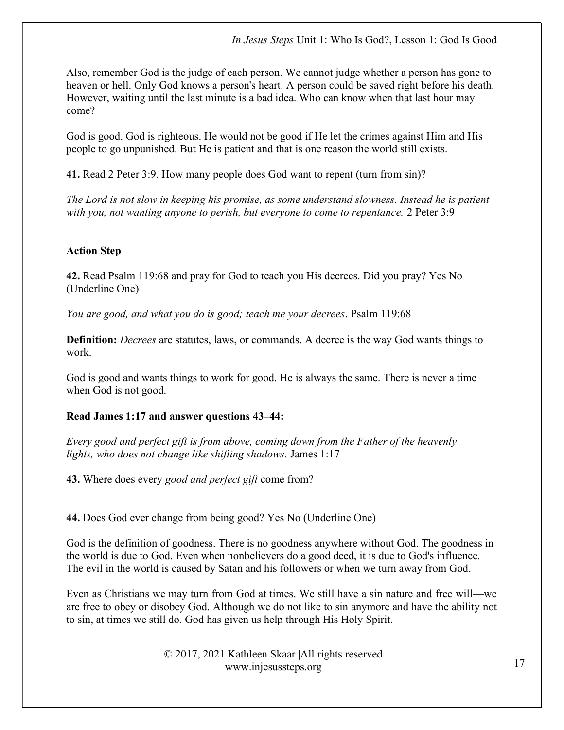Also, remember God is the judge of each person. We cannot judge whether a person has gone to heaven or hell. Only God knows a person's heart. A person could be saved right before his death. However, waiting until the last minute is a bad idea. Who can know when that last hour may come?

God is good. God is righteous. He would not be good if He let the crimes against Him and His people to go unpunished. But He is patient and that is one reason the world still exists.

41. Read 2 Peter 3:9. How many people does God want to repent (turn from sin)?

The Lord is not slow in keeping his promise, as some understand slowness. Instead he is patient with you, not wanting anyone to perish, but everyone to come to repentance. 2 Peter 3:9

# Action Step

42. Read Psalm 119:68 and pray for God to teach you His decrees. Did you pray? Yes No (Underline One)

You are good, and what you do is good; teach me your decrees. Psalm 119:68

Definition: *Decrees* are statutes, laws, or commands. A decree is the way God wants things to work.

God is good and wants things to work for good. He is always the same. There is never a time when God is not good.

# Read James 1:17 and answer questions 43–44:

Every good and perfect gift is from above, coming down from the Father of the heavenly lights, who does not change like shifting shadows. James 1:17

43. Where does every good and perfect gift come from?

44. Does God ever change from being good? Yes No (Underline One)

God is the definition of goodness. There is no goodness anywhere without God. The goodness in the world is due to God. Even when nonbelievers do a good deed, it is due to God's influence. The evil in the world is caused by Satan and his followers or when we turn away from God.

Even as Christians we may turn from God at times. We still have a sin nature and free will—we are free to obey or disobey God. Although we do not like to sin anymore and have the ability not to sin, at times we still do. God has given us help through His Holy Spirit.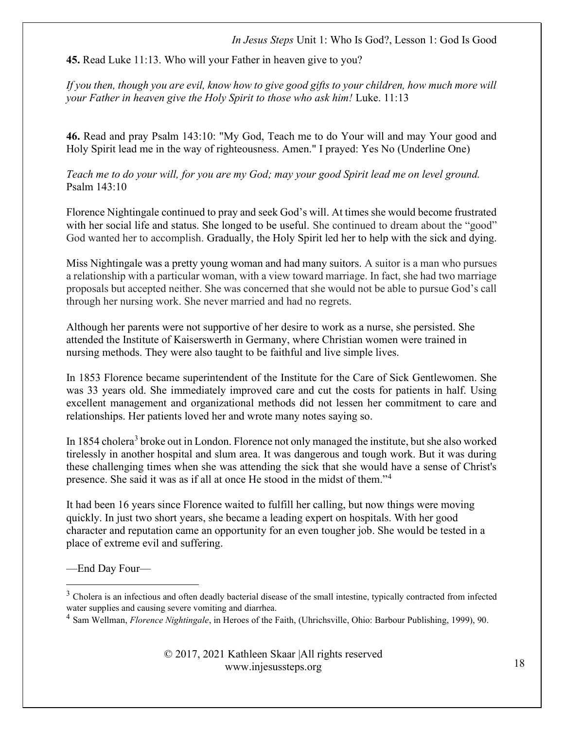45. Read Luke 11:13. Who will your Father in heaven give to you?

If you then, though you are evil, know how to give good gifts to your children, how much more will your Father in heaven give the Holy Spirit to those who ask him! Luke. 11:13

46. Read and pray Psalm 143:10: "My God, Teach me to do Your will and may Your good and Holy Spirit lead me in the way of righteousness. Amen." I prayed: Yes No (Underline One)

Teach me to do your will, for you are my God; may your good Spirit lead me on level ground. Psalm 143:10

Florence Nightingale continued to pray and seek God's will. At times she would become frustrated with her social life and status. She longed to be useful. She continued to dream about the "good" God wanted her to accomplish. Gradually, the Holy Spirit led her to help with the sick and dying.

Miss Nightingale was a pretty young woman and had many suitors. A suitor is a man who pursues a relationship with a particular woman, with a view toward marriage. In fact, she had two marriage proposals but accepted neither. She was concerned that she would not be able to pursue God's call through her nursing work. She never married and had no regrets.

Although her parents were not supportive of her desire to work as a nurse, she persisted. She attended the Institute of Kaiserswerth in Germany, where Christian women were trained in nursing methods. They were also taught to be faithful and live simple lives.

In 1853 Florence became superintendent of the Institute for the Care of Sick Gentlewomen. She was 33 years old. She immediately improved care and cut the costs for patients in half. Using excellent management and organizational methods did not lessen her commitment to care and relationships. Her patients loved her and wrote many notes saying so.

In 1854 cholera<sup>3</sup> broke out in London. Florence not only managed the institute, but she also worked tirelessly in another hospital and slum area. It was dangerous and tough work. But it was during these challenging times when she was attending the sick that she would have a sense of Christ's presence. She said it was as if all at once He stood in the midst of them."<sup>4</sup>

It had been 16 years since Florence waited to fulfill her calling, but now things were moving quickly. In just two short years, she became a leading expert on hospitals. With her good character and reputation came an opportunity for an even tougher job. She would be tested in a place of extreme evil and suffering.

—End Day Four—

<sup>&</sup>lt;sup>3</sup> Cholera is an infectious and often deadly bacterial disease of the small intestine, typically contracted from infected water supplies and causing severe vomiting and diarrhea.

<sup>&</sup>lt;sup>4</sup> Sam Wellman, *Florence Nightingale*, in Heroes of the Faith, (Uhrichsville, Ohio: Barbour Publishing, 1999), 90.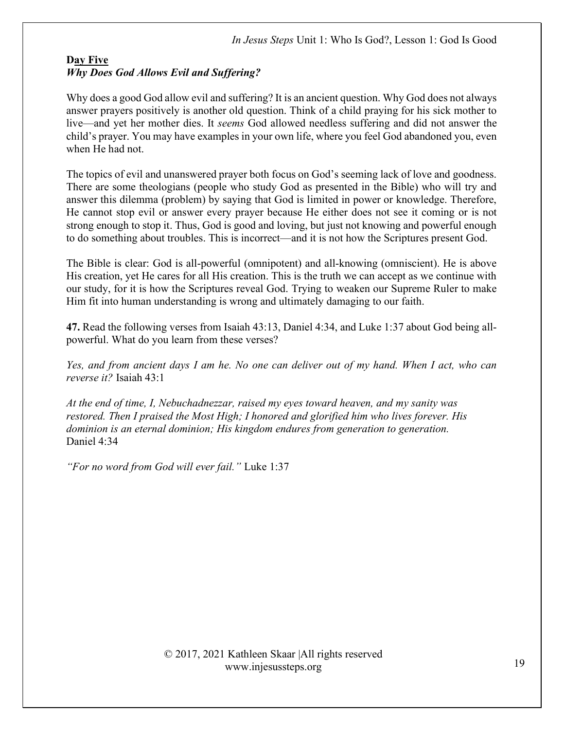# Day Five Why Does God Allows Evil and Suffering?

Why does a good God allow evil and suffering? It is an ancient question. Why God does not always answer prayers positively is another old question. Think of a child praying for his sick mother to live—and yet her mother dies. It seems God allowed needless suffering and did not answer the child's prayer. You may have examples in your own life, where you feel God abandoned you, even when He had not.

The topics of evil and unanswered prayer both focus on God's seeming lack of love and goodness. There are some theologians (people who study God as presented in the Bible) who will try and answer this dilemma (problem) by saying that God is limited in power or knowledge. Therefore, He cannot stop evil or answer every prayer because He either does not see it coming or is not strong enough to stop it. Thus, God is good and loving, but just not knowing and powerful enough to do something about troubles. This is incorrect—and it is not how the Scriptures present God.

The Bible is clear: God is all-powerful (omnipotent) and all-knowing (omniscient). He is above His creation, yet He cares for all His creation. This is the truth we can accept as we continue with our study, for it is how the Scriptures reveal God. Trying to weaken our Supreme Ruler to make Him fit into human understanding is wrong and ultimately damaging to our faith.

47. Read the following verses from Isaiah 43:13, Daniel 4:34, and Luke 1:37 about God being allpowerful. What do you learn from these verses?

Yes, and from ancient days I am he. No one can deliver out of my hand. When I act, who can reverse it? Isaiah 43:1

At the end of time, I, Nebuchadnezzar, raised my eyes toward heaven, and my sanity was restored. Then I praised the Most High; I honored and glorified him who lives forever. His dominion is an eternal dominion; His kingdom endures from generation to generation. Daniel 4:34

"For no word from God will ever fail." Luke 1:37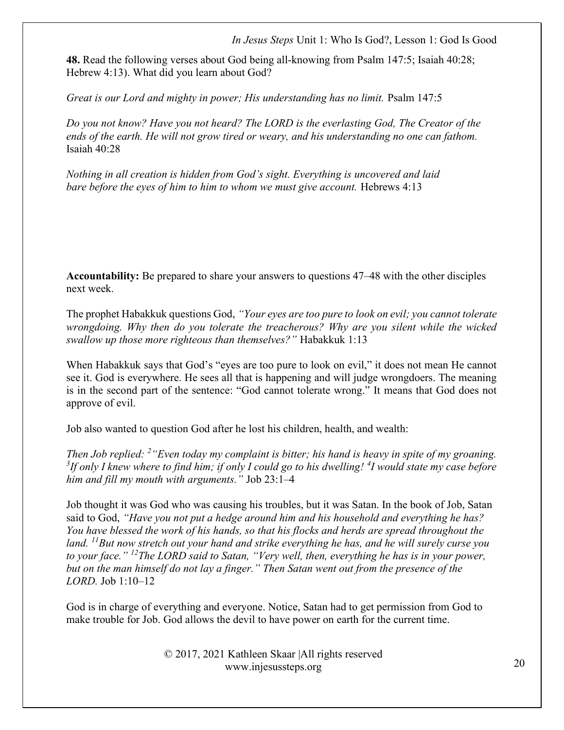48. Read the following verses about God being all-knowing from Psalm 147:5; Isaiah 40:28; Hebrew 4:13). What did you learn about God?

Great is our Lord and mighty in power; His understanding has no limit. Psalm 147:5

Do you not know? Have you not heard? The LORD is the everlasting God, The Creator of the ends of the earth. He will not grow tired or weary, and his understanding no one can fathom. Isaiah 40:28

Nothing in all creation is hidden from God's sight. Everything is uncovered and laid bare before the eyes of him to him to whom we must give account. Hebrews 4:13

Accountability: Be prepared to share your answers to questions 47–48 with the other disciples next week.

The prophet Habakkuk questions God, "Your eyes are too pure to look on evil; you cannot tolerate wrongdoing. Why then do you tolerate the treacherous? Why are you silent while the wicked swallow up those more righteous than themselves?" Habakkuk 1:13

When Habakkuk says that God's "eyes are too pure to look on evil," it does not mean He cannot see it. God is everywhere. He sees all that is happening and will judge wrongdoers. The meaning is in the second part of the sentence: "God cannot tolerate wrong." It means that God does not approve of evil.

Job also wanted to question God after he lost his children, health, and wealth:

Then Job replied:  $2$  "Even today my complaint is bitter; his hand is heavy in spite of my groaning.  ${}^{3}$ If only I knew where to find him; if only I could go to his dwelling! <sup>4</sup>I would state my case before him and fill my mouth with arguments." Job 23:1–4

Job thought it was God who was causing his troubles, but it was Satan. In the book of Job, Satan said to God, "Have you not put a hedge around him and his household and everything he has? You have blessed the work of his hands, so that his flocks and herds are spread throughout the land.  $^{11}$ But now stretch out your hand and strike everything he has, and he will surely curse you to your face." <sup>12</sup>The LORD said to Satan, "Very well, then, everything he has is in your power, but on the man himself do not lay a finger." Then Satan went out from the presence of the LORD. Job 1:10–12

God is in charge of everything and everyone. Notice, Satan had to get permission from God to make trouble for Job. God allows the devil to have power on earth for the current time.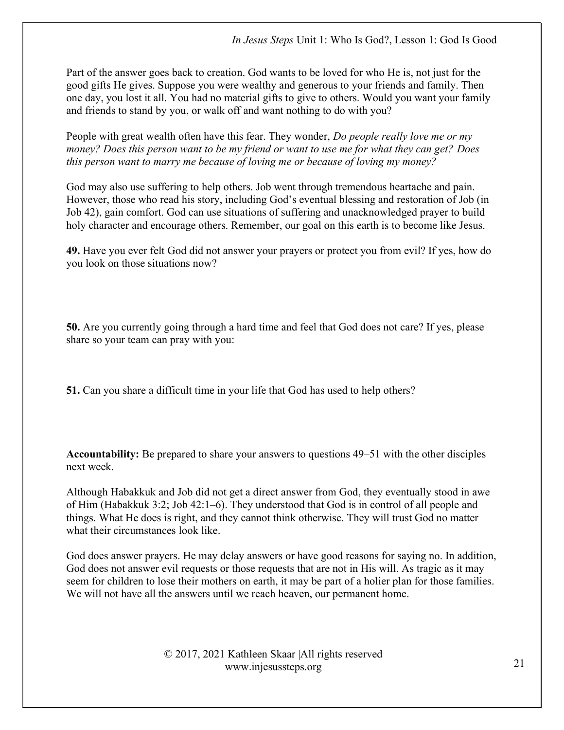Part of the answer goes back to creation. God wants to be loved for who He is, not just for the good gifts He gives. Suppose you were wealthy and generous to your friends and family. Then one day, you lost it all. You had no material gifts to give to others. Would you want your family and friends to stand by you, or walk off and want nothing to do with you?

People with great wealth often have this fear. They wonder, *Do people really love me or my* money? Does this person want to be my friend or want to use me for what they can get? Does this person want to marry me because of loving me or because of loving my money?

God may also use suffering to help others. Job went through tremendous heartache and pain. However, those who read his story, including God's eventual blessing and restoration of Job (in Job 42), gain comfort. God can use situations of suffering and unacknowledged prayer to build holy character and encourage others. Remember, our goal on this earth is to become like Jesus.

49. Have you ever felt God did not answer your prayers or protect you from evil? If yes, how do you look on those situations now?

50. Are you currently going through a hard time and feel that God does not care? If yes, please share so your team can pray with you:

51. Can you share a difficult time in your life that God has used to help others?

Accountability: Be prepared to share your answers to questions 49–51 with the other disciples next week.

Although Habakkuk and Job did not get a direct answer from God, they eventually stood in awe of Him (Habakkuk 3:2; Job 42:1–6). They understood that God is in control of all people and things. What He does is right, and they cannot think otherwise. They will trust God no matter what their circumstances look like.

God does answer prayers. He may delay answers or have good reasons for saying no. In addition, God does not answer evil requests or those requests that are not in His will. As tragic as it may seem for children to lose their mothers on earth, it may be part of a holier plan for those families. We will not have all the answers until we reach heaven, our permanent home.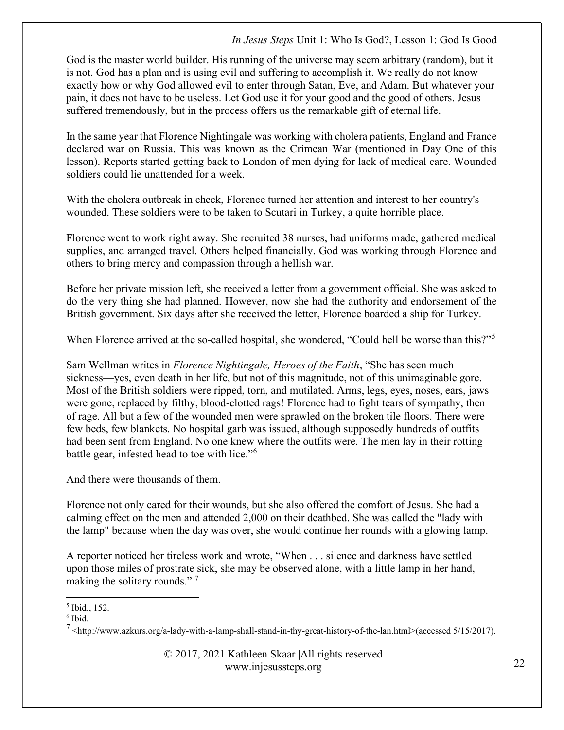God is the master world builder. His running of the universe may seem arbitrary (random), but it is not. God has a plan and is using evil and suffering to accomplish it. We really do not know exactly how or why God allowed evil to enter through Satan, Eve, and Adam. But whatever your pain, it does not have to be useless. Let God use it for your good and the good of others. Jesus suffered tremendously, but in the process offers us the remarkable gift of eternal life.

In the same year that Florence Nightingale was working with cholera patients, England and France declared war on Russia. This was known as the Crimean War (mentioned in Day One of this lesson). Reports started getting back to London of men dying for lack of medical care. Wounded soldiers could lie unattended for a week.

With the cholera outbreak in check, Florence turned her attention and interest to her country's wounded. These soldiers were to be taken to Scutari in Turkey, a quite horrible place.

Florence went to work right away. She recruited 38 nurses, had uniforms made, gathered medical supplies, and arranged travel. Others helped financially. God was working through Florence and others to bring mercy and compassion through a hellish war.

Before her private mission left, she received a letter from a government official. She was asked to do the very thing she had planned. However, now she had the authority and endorsement of the British government. Six days after she received the letter, Florence boarded a ship for Turkey.

When Florence arrived at the so-called hospital, she wondered, "Could hell be worse than this?"<sup>5</sup>

Sam Wellman writes in Florence Nightingale, Heroes of the Faith, "She has seen much sickness—yes, even death in her life, but not of this magnitude, not of this unimaginable gore. Most of the British soldiers were ripped, torn, and mutilated. Arms, legs, eyes, noses, ears, jaws were gone, replaced by filthy, blood-clotted rags! Florence had to fight tears of sympathy, then of rage. All but a few of the wounded men were sprawled on the broken tile floors. There were few beds, few blankets. No hospital garb was issued, although supposedly hundreds of outfits had been sent from England. No one knew where the outfits were. The men lay in their rotting battle gear, infested head to toe with lice."<sup>6</sup>

And there were thousands of them.

Florence not only cared for their wounds, but she also offered the comfort of Jesus. She had a calming effect on the men and attended 2,000 on their deathbed. She was called the "lady with the lamp" because when the day was over, she would continue her rounds with a glowing lamp.

A reporter noticed her tireless work and wrote, "When . . . silence and darkness have settled upon those miles of prostrate sick, she may be observed alone, with a little lamp in her hand, making the solitary rounds."<sup>7</sup>

<sup>5</sup> Ibid., 152.

<sup>6</sup> Ibid.

<sup>&</sup>lt;sup>7</sup> <http://www.azkurs.org/a-lady-with-a-lamp-shall-stand-in-thy-great-history-of-the-lan.html>(accessed 5/15/2017).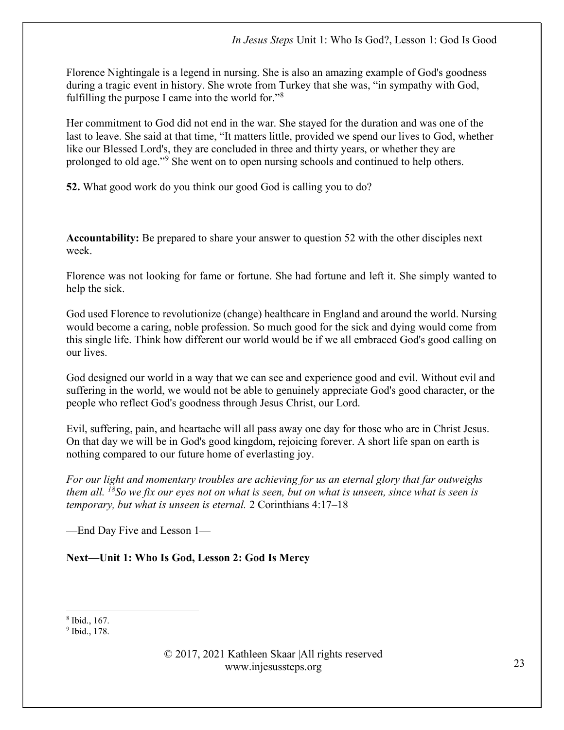Florence Nightingale is a legend in nursing. She is also an amazing example of God's goodness during a tragic event in history. She wrote from Turkey that she was, "in sympathy with God, fulfilling the purpose I came into the world for."<sup>8</sup>

Her commitment to God did not end in the war. She stayed for the duration and was one of the last to leave. She said at that time, "It matters little, provided we spend our lives to God, whether like our Blessed Lord's, they are concluded in three and thirty years, or whether they are prolonged to old age."<sup>9</sup> She went on to open nursing schools and continued to help others.

52. What good work do you think our good God is calling you to do?

Accountability: Be prepared to share your answer to question 52 with the other disciples next week.

Florence was not looking for fame or fortune. She had fortune and left it. She simply wanted to help the sick.

God used Florence to revolutionize (change) healthcare in England and around the world. Nursing would become a caring, noble profession. So much good for the sick and dying would come from this single life. Think how different our world would be if we all embraced God's good calling on our lives.

God designed our world in a way that we can see and experience good and evil. Without evil and suffering in the world, we would not be able to genuinely appreciate God's good character, or the people who reflect God's goodness through Jesus Christ, our Lord.

Evil, suffering, pain, and heartache will all pass away one day for those who are in Christ Jesus. On that day we will be in God's good kingdom, rejoicing forever. A short life span on earth is nothing compared to our future home of everlasting joy.

For our light and momentary troubles are achieving for us an eternal glory that far outweighs them all.  $^{18}$ So we fix our eyes not on what is seen, but on what is unseen, since what is seen is temporary, but what is unseen is eternal. 2 Corinthians 4:17–18

—End Day Five and Lesson 1—

Next—Unit 1: Who Is God, Lesson 2: God Is Mercy

<sup>8</sup> Ibid., 167.

<sup>9</sup> Ibid., 178.